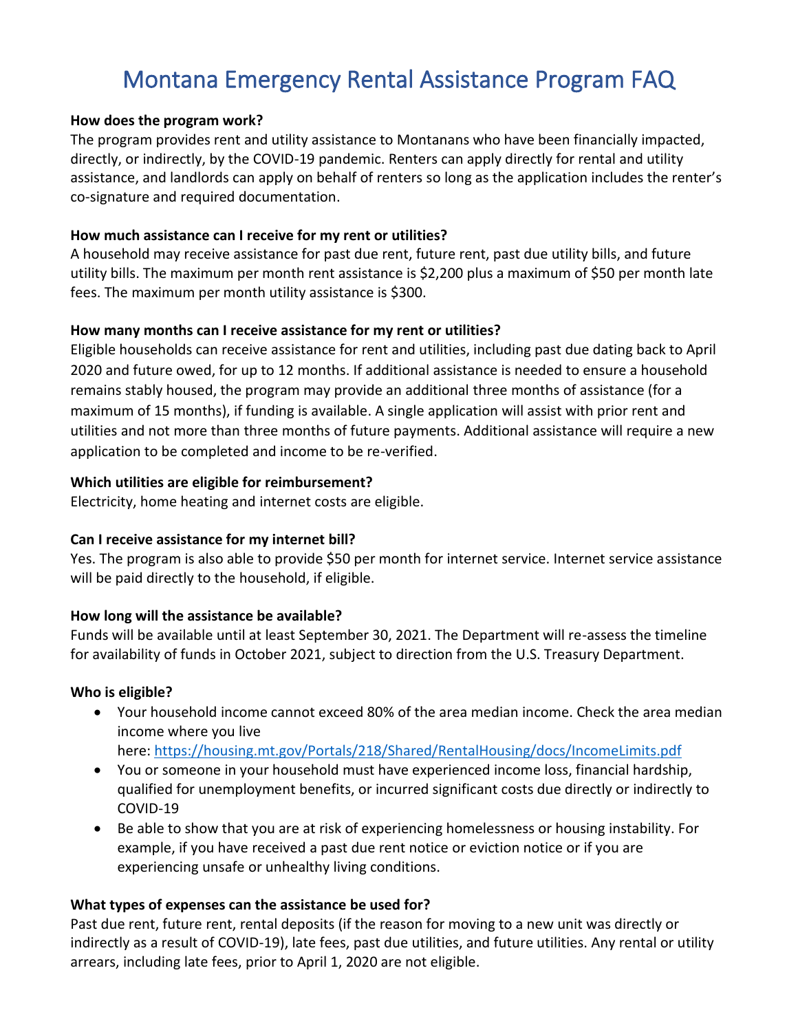# Montana Emergency Rental Assistance Program FAQ

#### **How does the program work?**

The program provides rent and utility assistance to Montanans who have been financially impacted, directly, or indirectly, by the COVID-19 pandemic. Renters can apply directly for rental and utility assistance, and landlords can apply on behalf of renters so long as the application includes the renter's co-signature and required documentation.

#### **How much assistance can I receive for my rent or utilities?**

A household may receive assistance for past due rent, future rent, past due utility bills, and future utility bills. The maximum per month rent assistance is \$2,200 plus a maximum of \$50 per month late fees. The maximum per month utility assistance is \$300.

#### **How many months can I receive assistance for my rent or utilities?**

Eligible households can receive assistance for rent and utilities, including past due dating back to April 2020 and future owed, for up to 12 months. If additional assistance is needed to ensure a household remains stably housed, the program may provide an additional three months of assistance (for a maximum of 15 months), if funding is available. A single application will assist with prior rent and utilities and not more than three months of future payments. Additional assistance will require a new application to be completed and income to be re-verified.

#### **Which utilities are eligible for reimbursement?**

Electricity, home heating and internet costs are eligible.

# **Can I receive assistance for my internet bill?**

Yes. The program is also able to provide \$50 per month for internet service. Internet service assistance will be paid directly to the household, if eligible.

# **How long will the assistance be available?**

Funds will be available until at least September 30, 2021. The Department will re-assess the timeline for availability of funds in October 2021, subject to direction from the U.S. Treasury Department.

#### **Who is eligible?**

- Your household income cannot exceed 80% of the area median income. Check the area median income where you live here: <https://housing.mt.gov/Portals/218/Shared/RentalHousing/docs/IncomeLimits.pdf>
- You or someone in your household must have experienced income loss, financial hardship, qualified for unemployment benefits, or incurred significant costs due directly or indirectly to COVID-19
- Be able to show that you are at risk of experiencing homelessness or housing instability. For example, if you have received a past due rent notice or eviction notice or if you are experiencing unsafe or unhealthy living conditions.

# **What types of expenses can the assistance be used for?**

Past due rent, future rent, rental deposits (if the reason for moving to a new unit was directly or indirectly as a result of COVID-19), late fees, past due utilities, and future utilities. Any rental or utility arrears, including late fees, prior to April 1, 2020 are not eligible.